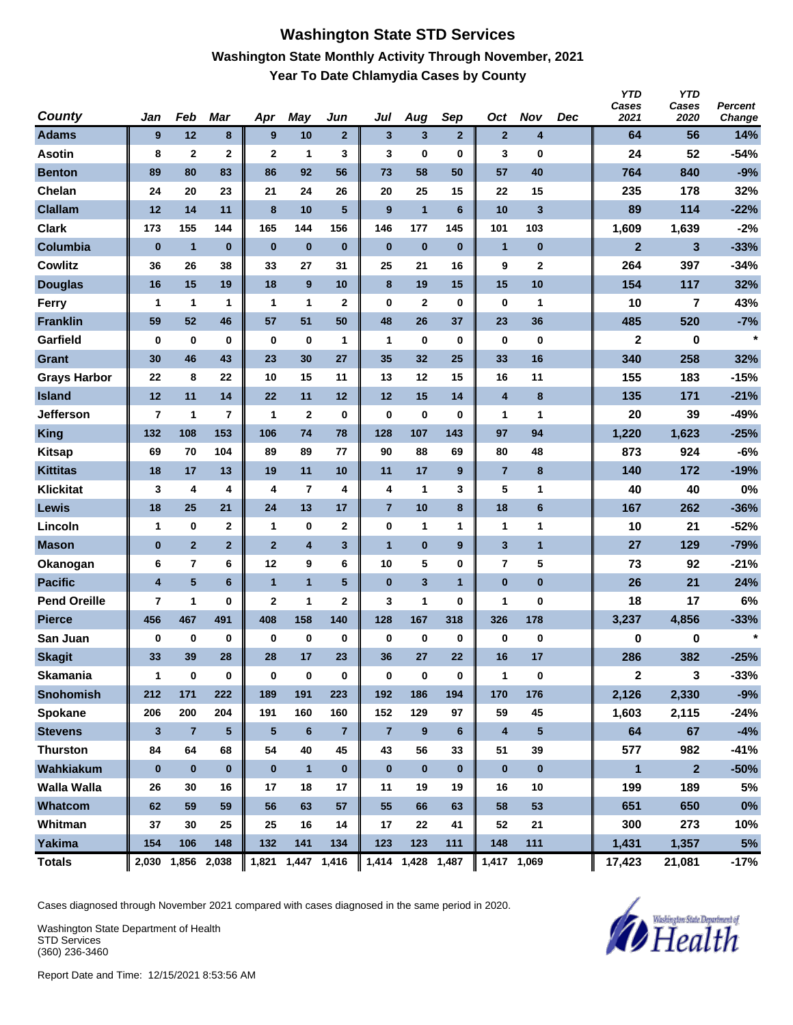#### **Washington State STD Services Washington State Monthly Activity Through November, 2021 Year To Date Chlamydia Cases by County**

| <b>County</b>       | Jan                     | Feb                     | Mar             | Apr            | <b>May</b>              | Jun             | Jul            | Aug                     | Sep          | Oct                     | <b>Nov</b>              | <b>Dec</b> | <b>YTD</b><br>Cases<br>2021 | <b>YTD</b><br>Cases<br>2020 | Percent<br>Change |
|---------------------|-------------------------|-------------------------|-----------------|----------------|-------------------------|-----------------|----------------|-------------------------|--------------|-------------------------|-------------------------|------------|-----------------------------|-----------------------------|-------------------|
| <b>Adams</b>        | 9                       | 12                      | 8               | 9              | 10                      | $\mathbf{2}$    | $\mathbf{3}$   | $\overline{\mathbf{3}}$ | $\mathbf{2}$ | $\mathbf{2}$            | $\overline{\mathbf{4}}$ |            | 64                          | 56                          | 14%               |
| <b>Asotin</b>       | 8                       | $\mathbf{2}$            | 2               | $\mathbf{2}$   | 1                       | 3               | 3              | 0                       | $\bf{0}$     | 3                       | 0                       |            | 24                          | 52                          | $-54%$            |
| <b>Benton</b>       | 89                      | 80                      | 83              | 86             | 92                      | 56              | 73             | 58                      | 50           | 57                      | 40                      |            | 764                         | 840                         | $-9%$             |
| Chelan              | 24                      | 20                      | 23              | 21             | 24                      | 26              | 20             | 25                      | 15           | 22                      | 15                      |            | 235                         | 178                         | 32%               |
| <b>Clallam</b>      | 12                      | 14                      | 11              | 8              | 10                      | $5\phantom{1}$  | 9              | $\overline{1}$          | 6            | 10                      | 3                       |            | 89                          | 114                         | $-22%$            |
| <b>Clark</b>        | 173                     | 155                     | 144             | 165            | 144                     | 156             | 146            | 177                     | 145          | 101                     | 103                     |            | 1,609                       | 1,639                       | $-2%$             |
| Columbia            | $\bf{0}$                | $\mathbf{1}$            | $\bf{0}$        | $\bf{0}$       | $\bf{0}$                | $\bf{0}$        | $\bf{0}$       | $\bf{0}$                | $\bf{0}$     | $\mathbf{1}$            | $\bf{0}$                |            | $\mathbf{2}$                | 3                           | $-33%$            |
| <b>Cowlitz</b>      | 36                      | 26                      | 38              | 33             | 27                      | 31              | 25             | 21                      | 16           | 9                       | $\mathbf 2$             |            | 264                         | 397                         | $-34%$            |
| <b>Douglas</b>      | 16                      | 15                      | 19              | 18             | 9                       | 10              | 8              | 19                      | 15           | 15                      | 10                      |            | 154                         | 117                         | 32%               |
| Ferry               | 1                       | 1                       | 1               | 1              | 1                       | $\mathbf 2$     | $\bf{0}$       | $\mathbf 2$             | $\mathbf 0$  | $\bf{0}$                | 1                       |            | 10                          | 7                           | 43%               |
| <b>Franklin</b>     | 59                      | 52                      | 46              | 57             | 51                      | 50              | 48             | 26                      | 37           | 23                      | 36                      |            | 485                         | 520                         | $-7%$             |
| Garfield            | $\bf{0}$                | $\bf{0}$                | 0               | $\bf{0}$       | $\bf{0}$                | 1               | 1              | 0                       | $\bf{0}$     | $\bf{0}$                | 0                       |            | $\mathbf{2}$                | 0                           | $\star$           |
| <b>Grant</b>        | 30                      | 46                      | 43              | 23             | 30                      | 27              | 35             | 32                      | 25           | 33                      | 16                      |            | 340                         | 258                         | 32%               |
| <b>Grays Harbor</b> | 22                      | 8                       | 22              | 10             | 15                      | 11              | 13             | 12                      | 15           | 16                      | 11                      |            | 155                         | 183                         | $-15%$            |
| <b>Island</b>       | 12                      | 11                      | 14              | 22             | 11                      | 12              | 12             | 15                      | 14           | $\overline{\mathbf{4}}$ | $\bf8$                  |            | 135                         | 171                         | $-21%$            |
| <b>Jefferson</b>    | $\overline{7}$          | 1                       | $\overline{7}$  | 1              | $\mathbf{2}$            | 0               | 0              | 0                       | 0            | 1                       | 1                       |            | 20                          | 39                          | $-49%$            |
| <b>King</b>         | 132                     | 108                     | 153             | 106            | 74                      | 78              | 128            | 107                     | 143          | 97                      | 94                      |            | 1,220                       | 1,623                       | $-25%$            |
| <b>Kitsap</b>       | 69                      | 70                      | 104             | 89             | 89                      | 77              | 90             | 88                      | 69           | 80                      | 48                      |            | 873                         | 924                         | $-6%$             |
| <b>Kittitas</b>     | 18                      | 17                      | 13              | 19             | 11                      | 10              | 11             | 17                      | 9            | $\overline{7}$          | 8                       |            | 140                         | 172                         | $-19%$            |
| <b>Klickitat</b>    | 3                       | 4                       | 4               | 4              | 7                       | 4               | 4              | 1                       | 3            | 5                       | 1                       |            | 40                          | 40                          | 0%                |
| Lewis               | 18                      | 25                      | 21              | 24             | 13                      | 17              | $\overline{7}$ | 10                      | 8            | 18                      | $6\phantom{1}$          |            | 167                         | 262                         | $-36%$            |
| Lincoln             | 1                       | $\bf{0}$                | $\mathbf 2$     | $\mathbf{1}$   | 0                       | $\mathbf{2}$    | 0              | 1                       | 1            | 1                       | 1                       |            | 10                          | 21                          | $-52%$            |
| <b>Mason</b>        | $\bf{0}$                | $\overline{2}$          | $\overline{2}$  | $\overline{2}$ | 4                       | $\mathbf{3}$    | $\overline{1}$ | $\bf{0}$                | 9            | 3                       | $\mathbf{1}$            |            | 27                          | 129                         | $-79%$            |
| Okanogan            | 6                       | $\overline{\mathbf{r}}$ | 6               | 12             | 9                       | 6               | 10             | 5                       | 0            | 7                       | 5                       |            | 73                          | 92                          | $-21%$            |
| <b>Pacific</b>      | $\overline{\mathbf{4}}$ | $5\phantom{.0}$         | $6\phantom{1}$  | $\mathbf{1}$   | $\overline{\mathbf{1}}$ | $5\phantom{.0}$ | $\bf{0}$       | 3                       | $\mathbf{1}$ | $\bf{0}$                | $\bf{0}$                |            | 26                          | 21                          | 24%               |
| <b>Pend Oreille</b> | 7                       | 1                       | 0               | $\mathbf{2}$   | 1                       | 2               | 3              | 1                       | 0            | 1                       | 0                       |            | 18                          | 17                          | 6%                |
| <b>Pierce</b>       | 456                     | 467                     | 491             | 408            | 158                     | 140             | 128            | 167                     | 318          | 326                     | 178                     |            | 3,237                       | 4,856                       | $-33%$            |
| San Juan            | 0                       | 0                       | 0               | 0              | 0                       | $\bf{0}$        | 0              | 0                       | $\bf{0}$     | 0                       | 0                       |            | 0                           | 0                           | $\star$           |
| <b>Skagit</b>       | 33                      | 39                      | 28              | 28             | 17                      | 23              | 36             | 27                      | 22           | 16                      | 17                      |            | 286                         | 382                         | $-25%$            |
| <b>Skamania</b>     | $\mathbf{1}$            | $\mathbf 0$             | $\bf{0}$        | $\bf{0}$       | $\bf{0}$                | $\pmb{0}$       | 0              | $\pmb{0}$               | $\mathbf 0$  | $\mathbf{1}$            | $\bf{0}$                |            | $\mathbf 2$                 | 3                           | $-33%$            |
| <b>Snohomish</b>    | 212                     | 171                     | 222             | 189            | 191                     | 223             | 192            | 186                     | 194          | 170                     | 176                     |            | 2,126                       | 2,330                       | $-9%$             |
| Spokane             | 206                     | 200                     | 204             | 191            | 160                     | 160             | 152            | 129                     | 97           | 59                      | 45                      |            | 1,603                       | 2,115                       | $-24%$            |
| <b>Stevens</b>      | 3                       | $\overline{7}$          | $5\phantom{.0}$ | $\sqrt{5}$     | $\bf 6$                 | $\overline{7}$  | $\overline{7}$ | 9                       | 6            | 4                       | $\sqrt{5}$              |            | 64                          | 67                          | $-4%$             |
| <b>Thurston</b>     | 84                      | 64                      | 68              | 54             | 40                      | 45              | 43             | 56                      | 33           | 51                      | 39                      |            | 577                         | 982                         | $-41%$            |
| Wahkiakum           | $\bf{0}$                | $\pmb{0}$               | $\bf{0}$        | $\bf{0}$       | $\mathbf{1}$            | $\bf{0}$        | $\bf{0}$       | $\pmb{0}$               | $\mathbf{0}$ | $\pmb{0}$               | $\pmb{0}$               |            | $\mathbf{1}$                | $\overline{2}$              | $-50%$            |
| <b>Walla Walla</b>  | 26                      | 30                      | 16              | 17             | 18                      | 17              | 11             | 19                      | 19           | 16                      | 10                      |            | 199                         | 189                         | 5%                |
| Whatcom             | 62                      | 59                      | 59              | 56             | 63                      | 57              | 55             | 66                      | 63           | 58                      | 53                      |            | 651                         | 650                         | $0\%$             |
| Whitman             | 37                      | 30                      | 25              | 25             | 16                      | 14              | 17             | 22                      | 41           | 52                      | 21                      |            | 300                         | 273                         | 10%               |
| Yakima              | 154                     | 106                     | 148             | 132            | 141                     | 134             | 123            | 123                     | 111          | 148                     | 111                     |            | 1,431                       | 1,357                       | $5%$              |
| <b>Totals</b>       |                         | 2,030 1,856 2,038       |                 |                | 1,821 1,447 1,416       |                 |                | 1,414 1,428 1,487       |              |                         | 1,417 1,069             |            | 17,423                      | 21,081                      | $-17%$            |

Cases diagnosed through November 2021 compared with cases diagnosed in the same period in 2020.

Washington State Department of Health STD Services (360) 236-3460

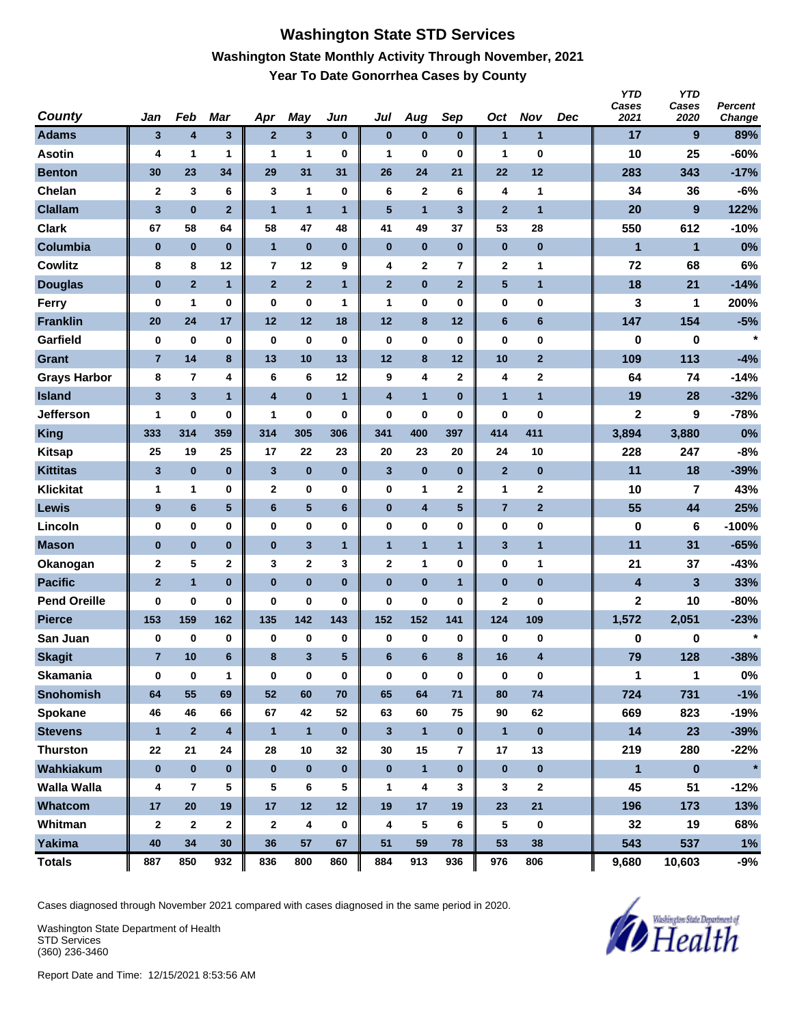#### **Washington State STD Services Washington State Monthly Activity Through November, 2021 Year To Date Gonorrhea Cases by County**

| <b>County</b>       | Jan            | Feb                     | <b>Mar</b>              | Apr                     | May            | Jun          | Jul                     | Aug          | Sep            | Oct            | <b>Nov</b>     | <b>Dec</b> | <b>YTD</b><br>Cases<br>2021 | <b>YTD</b><br>Cases<br>2020 | Percent<br>Change |
|---------------------|----------------|-------------------------|-------------------------|-------------------------|----------------|--------------|-------------------------|--------------|----------------|----------------|----------------|------------|-----------------------------|-----------------------------|-------------------|
| <b>Adams</b>        | 3              | 4                       | $\mathbf{3}$            | $\overline{2}$          | $\mathbf{3}$   | $\bf{0}$     | $\bf{0}$                | $\pmb{0}$    | $\bf{0}$       | $\mathbf{1}$   | 1              |            | 17                          | 9                           | 89%               |
| <b>Asotin</b>       | 4              | 1                       | 1                       | 1                       | 1              | 0            | 1                       | 0            | $\bf{0}$       | 1              | $\bf{0}$       |            | 10                          | 25                          | $-60%$            |
| <b>Benton</b>       | 30             | 23                      | 34                      | 29                      | 31             | 31           | 26                      | 24           | 21             | 22             | 12             |            | 283                         | 343                         | $-17%$            |
| Chelan              | $\mathbf 2$    | 3                       | 6                       | 3                       | 1              | 0            | 6                       | $\mathbf 2$  | 6              | 4              | $\mathbf{1}$   |            | 34                          | 36                          | $-6%$             |
| <b>Clallam</b>      | $\mathbf{3}$   | $\bf{0}$                | $\overline{2}$          | $\overline{1}$          | $\overline{1}$ | 1            | 5                       | 1            | $\mathbf{3}$   | $\overline{2}$ | $\mathbf{1}$   |            | 20                          | $9\phantom{.}$              | 122%              |
| <b>Clark</b>        | 67             | 58                      | 64                      | 58                      | 47             | 48           | 41                      | 49           | 37             | 53             | 28             |            | 550                         | 612                         | $-10%$            |
| Columbia            | $\bf{0}$       | $\bf{0}$                | $\bf{0}$                | $\overline{1}$          | $\bf{0}$       | $\bf{0}$     | $\bf{0}$                | $\bf{0}$     | $\bf{0}$       | $\pmb{0}$      | $\bf{0}$       |            | $\mathbf{1}$                | $\blacksquare$              | 0%                |
| <b>Cowlitz</b>      | 8              | 8                       | 12                      | 7                       | 12             | 9            | 4                       | 2            | 7              | 2              | 1              |            | 72                          | 68                          | 6%                |
| <b>Douglas</b>      | $\bf{0}$       | $\overline{2}$          | 1                       | $\overline{2}$          | $\overline{2}$ | $\mathbf{1}$ | $\mathbf{2}$            | $\bf{0}$     | $\mathbf{2}$   | $\sqrt{5}$     | $\mathbf{1}$   |            | 18                          | 21                          | $-14%$            |
| Ferry               | $\bf{0}$       | 1                       | 0                       | 0                       | $\bf{0}$       | 1            | 1                       | 0            | 0              | 0              | 0              |            | 3                           | 1                           | 200%              |
| <b>Franklin</b>     | 20             | 24                      | 17                      | 12                      | 12             | 18           | 12                      | 8            | 12             | 6              | 6              |            | 147                         | 154                         | $-5%$             |
| Garfield            | 0              | $\bf{0}$                | $\bf{0}$                | $\bf{0}$                | $\bf{0}$       | 0            | $\bf{0}$                | 0            | $\bf{0}$       | 0              | 0              |            | 0                           | $\bf{0}$                    | $\star$           |
| <b>Grant</b>        | $\overline{7}$ | 14                      | 8                       | 13                      | 10             | 13           | 12                      | 8            | 12             | 10             | $\mathbf{2}$   |            | 109                         | 113                         | $-4%$             |
| <b>Grays Harbor</b> | 8              | $\overline{7}$          | 4                       | 6                       | 6              | 12           | 9                       | 4            | $\mathbf{2}$   | 4              | $\mathbf{2}$   |            | 64                          | 74                          | $-14%$            |
| <b>Island</b>       | $\mathbf 3$    | 3                       | $\mathbf{1}$            | $\overline{\mathbf{4}}$ | $\bf{0}$       | $\mathbf{1}$ | $\overline{\mathbf{4}}$ | $\mathbf{1}$ | $\bf{0}$       | $\mathbf{1}$   | $\mathbf{1}$   |            | 19                          | 28                          | $-32%$            |
| <b>Jefferson</b>    | 1              | 0                       | 0                       | 1                       | $\bf{0}$       | 0            | $\bf{0}$                | 0            | 0              | 0              | 0              |            | 2                           | 9                           | $-78%$            |
| <b>King</b>         | 333            | 314                     | 359                     | 314                     | 305            | 306          | 341                     | 400          | 397            | 414            | 411            |            | 3,894                       | 3,880                       | 0%                |
| <b>Kitsap</b>       | 25             | 19                      | 25                      | 17                      | 22             | 23           | 20                      | 23           | 20             | 24             | 10             |            | 228                         | 247                         | $-8%$             |
| <b>Kittitas</b>     | 3              | $\pmb{0}$               | $\bf{0}$                | 3                       | $\pmb{0}$      | $\pmb{0}$    | $\mathbf{3}$            | $\bf{0}$     | $\bf{0}$       | $\mathbf{2}$   | $\pmb{0}$      |            | 11                          | 18                          | $-39%$            |
| <b>Klickitat</b>    | 1              | 1                       | 0                       | 2                       | $\bf{0}$       | 0            | 0                       | 1            | 2              | 1              | 2              |            | 10                          | 7                           | 43%               |
| Lewis               | 9              | 6                       | 5                       | 6                       | 5              | 6            | $\pmb{0}$               | 4            | 5              | $\overline{7}$ | $\overline{2}$ |            | 55                          | 44                          | 25%               |
| Lincoln             | $\bf{0}$       | $\pmb{0}$               | 0                       | $\bf{0}$                | $\bf{0}$       | 0            | 0                       | 0            | $\bf{0}$       | 0              | $\pmb{0}$      |            | 0                           | 6                           | $-100%$           |
| <b>Mason</b>        | $\bf{0}$       | $\pmb{0}$               | $\bf{0}$                | $\pmb{0}$               | $\mathbf{3}$   | $\mathbf{1}$ | $\mathbf{1}$            | $\mathbf{1}$ | $\overline{1}$ | 3              | $\mathbf{1}$   |            | 11                          | 31                          | $-65%$            |
| Okanogan            | $\mathbf 2$    | 5                       | 2                       | 3                       | $\mathbf 2$    | 3            | $\mathbf 2$             | 1            | 0              | 0              | 1              |            | 21                          | 37                          | $-43%$            |
| <b>Pacific</b>      | $\overline{2}$ | $\mathbf{1}$            | $\bf{0}$                | $\bf{0}$                | $\bf{0}$       | $\bf{0}$     | $\bf{0}$                | $\bf{0}$     | $\overline{1}$ | $\bf{0}$       | $\bf{0}$       |            | 4                           | 3                           | 33%               |
| <b>Pend Oreille</b> | 0              | 0                       | 0                       | 0                       | $\bf{0}$       | 0            | $\bf{0}$                | 0            | 0              | 2              | 0              |            | $\overline{2}$              | 10                          | $-80%$            |
| <b>Pierce</b>       | 153            | 159                     | 162                     | 135                     | 142            | 143          | 152                     | 152          | 141            | 124            | 109            |            | 1,572                       | 2,051                       | $-23%$            |
| San Juan            | 0              | 0                       | 0                       | 0                       | 0              | 0            | 0                       | 0            | $\bf{0}$       | 0              | 0              |            | 0                           | 0                           | $\star$           |
| <b>Skagit</b>       | $\overline{7}$ | 10                      | 6                       | 8                       | 3              | 5            | $6\phantom{1}6$         | 6            | 8              | 16             | 4              |            | 79                          | 128                         | $-38%$            |
| <b>Skamania</b>     | 0              | $\bf{0}$                | 1                       | 0                       | $\bf{0}$       | $\pmb{0}$    | 0                       | $\pmb{0}$    | $\pmb{0}$      | $\bf{0}$       | $\pmb{0}$      |            | 1                           | 1                           | $0\%$             |
| <b>Snohomish</b>    | 64             | 55                      | 69                      | 52                      | 60             | 70           | 65                      | 64           | 71             | 80             | 74             |            | 724                         | 731                         | $-1%$             |
| Spokane             | 46             | 46                      | 66                      | 67                      | 42             | 52           | 63                      | 60           | 75             | 90             | 62             |            | 669                         | 823                         | $-19%$            |
| <b>Stevens</b>      | $\mathbf{1}$   | $\mathbf{2}$            | $\overline{\mathbf{4}}$ | $\mathbf{1}$            | $\mathbf{1}$   | $\bf{0}$     | $\mathbf{3}$            | $\mathbf{1}$ | $\bf{0}$       | $\mathbf{1}$   | $\pmb{0}$      |            | 14                          | 23                          | $-39%$            |
| <b>Thurston</b>     | 22             | 21                      | 24                      | 28                      | 10             | 32           | 30                      | 15           | $\overline{7}$ | 17             | 13             |            | 219                         | 280                         | $-22%$            |
| Wahkiakum           | $\pmb{0}$      | $\pmb{0}$               | $\bf{0}$                | $\bf{0}$                | $\pmb{0}$      | $\bf{0}$     | $\pmb{0}$               | $\mathbf{1}$ | $\mathbf 0$    | $\pmb{0}$      | $\pmb{0}$      |            | $\mathbf{1}$                | $\pmb{0}$                   | $\star$           |
| <b>Walla Walla</b>  | 4              | $\overline{\mathbf{r}}$ | 5                       | 5                       | 6              | 5            | 1                       | 4            | 3              | 3              | $\mathbf{2}$   |            | 45                          | 51                          | $-12%$            |
| Whatcom             | 17             | 20                      | 19                      | 17                      | 12             | 12           | 19                      | 17           | 19             | 23             | 21             |            | 196                         | 173                         | 13%               |
| Whitman             | $\mathbf{2}$   | $\mathbf{2}$            | $\mathbf 2$             | $\mathbf{2}$            | 4              | 0            | 4                       | 5            | 6              | 5              | $\pmb{0}$      |            | 32                          | 19                          | 68%               |
| <b>Yakima</b>       | 40             | 34                      | 30                      | 36                      | 57             | 67           | 51                      | 59           | 78             | 53             | 38             |            | 543                         | 537                         | 1%                |
| <b>Totals</b>       | 887            | 850                     | 932                     | 836                     | 800            | 860          | 884                     | 913          | 936            | 976            | 806            |            | 9,680                       | 10,603                      | $-9%$             |

Cases diagnosed through November 2021 compared with cases diagnosed in the same period in 2020.

Washington State Department of Health STD Services (360) 236-3460

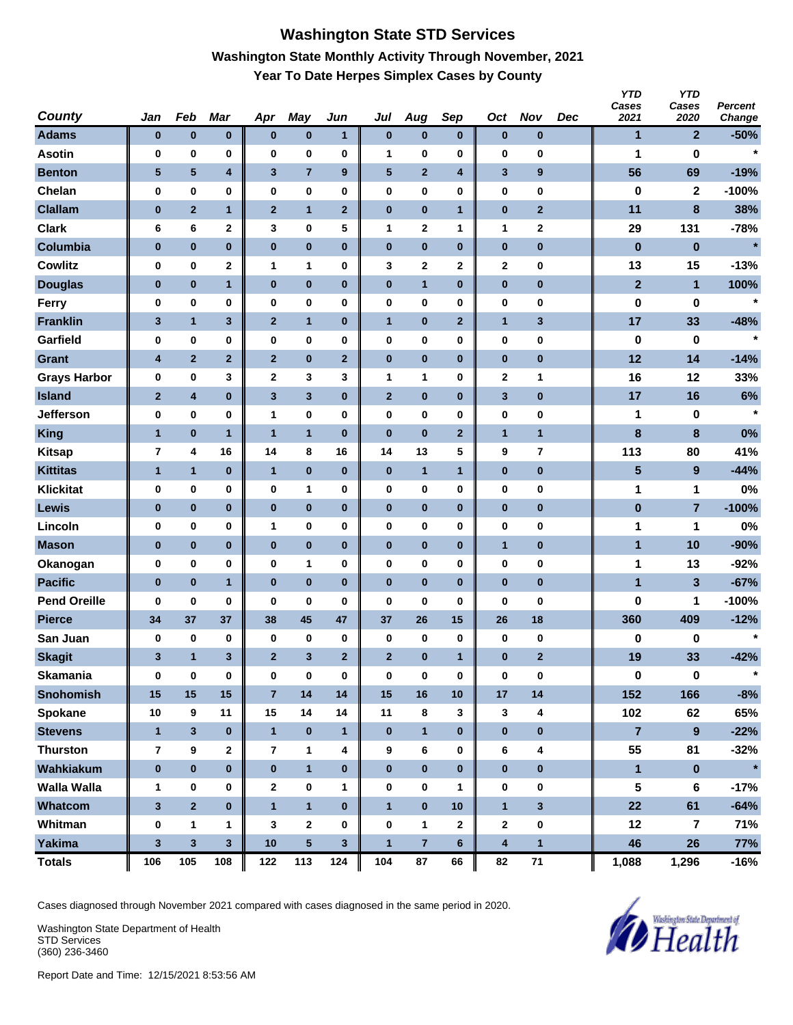# **Washington State STD Services Washington State Monthly Activity Through November, 2021 Year To Date Herpes Simplex Cases by County**

| <b>County</b>       | Jan             | Feb                     | Mar                     | Apr                     | <b>May</b>              | Jun            | Jul                     | Aug            | Sep                     | Oct          | <b>Nov</b>              | Dec | <b>YTD</b><br>Cases<br>2021 | <b>YTD</b><br>Cases<br>2020 | Percent<br>Change |
|---------------------|-----------------|-------------------------|-------------------------|-------------------------|-------------------------|----------------|-------------------------|----------------|-------------------------|--------------|-------------------------|-----|-----------------------------|-----------------------------|-------------------|
| <b>Adams</b>        | $\pmb{0}$       | $\pmb{0}$               | $\bf{0}$                | $\pmb{0}$               | $\pmb{0}$               | $\mathbf{1}$   | $\pmb{0}$               | $\pmb{0}$      | $\bf{0}$                | $\bf{0}$     | $\bf{0}$                |     | $\mathbf{1}$                | $\mathbf{2}$                | $-50%$            |
| <b>Asotin</b>       | 0               | 0                       | $\bf{0}$                | 0                       | 0                       | 0              | 1                       | 0              | 0                       | 0            | 0                       |     | 1                           | 0                           | $\star$           |
| <b>Benton</b>       | $5\phantom{.0}$ | $5\phantom{.0}$         | $\overline{\mathbf{4}}$ | $\mathbf{3}$            | $\overline{7}$          | 9              | $\overline{\mathbf{5}}$ | $\overline{2}$ | $\overline{\mathbf{4}}$ | 3            | 9                       |     | 56                          | 69                          | $-19%$            |
| Chelan              | 0               | 0                       | 0                       | 0                       | $\bf{0}$                | 0              | 0                       | 0              | 0                       | 0            | 0                       |     | 0                           | $\mathbf{2}$                | $-100%$           |
| <b>Clallam</b>      | $\pmb{0}$       | $\overline{2}$          | $\mathbf{1}$            | $\overline{2}$          | $\overline{1}$          | $\overline{2}$ | $\bf{0}$                | $\pmb{0}$      | $\mathbf{1}$            | $\pmb{0}$    | $\overline{2}$          |     | 11                          | $\bf8$                      | 38%               |
| <b>Clark</b>        | 6               | 6                       | 2                       | 3                       | $\bf{0}$                | 5              | 1                       | 2              | 1                       | 1            | 2                       |     | 29                          | 131                         | $-78%$            |
| Columbia            | $\bf{0}$        | $\bf{0}$                | $\bf{0}$                | $\bf{0}$                | $\bf{0}$                | $\bf{0}$       | $\bf{0}$                | $\bf{0}$       | $\bf{0}$                | $\pmb{0}$    | $\bf{0}$                |     | $\bf{0}$                    | $\bf{0}$                    | $\star$           |
| <b>Cowlitz</b>      | 0               | 0                       | 2                       | 1                       | $\mathbf{1}$            | 0              | 3                       | $\mathbf 2$    | $\mathbf 2$             | 2            | 0                       |     | 13                          | 15                          | $-13%$            |
| <b>Douglas</b>      | $\bf{0}$        | $\bf{0}$                | 1                       | $\pmb{0}$               | $\bf{0}$                | $\pmb{0}$      | $\pmb{0}$               | $\mathbf{1}$   | $\bf{0}$                | $\bf{0}$     | $\pmb{0}$               |     | $\mathbf{2}$                | $\mathbf{1}$                | 100%              |
| Ferry               | 0               | $\pmb{0}$               | 0                       | 0                       | $\bf{0}$                | 0              | 0                       | 0              | 0                       | 0            | 0                       |     | 0                           | 0                           | $\star$           |
| <b>Franklin</b>     | 3               | $\mathbf{1}$            | $\mathbf{3}$            | $\mathbf{2}$            | $\mathbf{1}$            | $\pmb{0}$      | $\mathbf{1}$            | $\bf{0}$       | $\mathbf{2}$            | $\mathbf{1}$ | 3                       |     | 17                          | 33                          | $-48%$            |
| Garfield            | 0               | 0                       | 0                       | 0                       | $\bf{0}$                | 0              | 0                       | 0              | 0                       | 0            | 0                       |     | $\bf{0}$                    | 0                           | $\star$           |
| <b>Grant</b>        | 4               | $\overline{2}$          | $\mathbf 2$             | $\mathbf{2}$            | $\pmb{0}$               | $\mathbf{2}$   | $\pmb{0}$               | $\bf{0}$       | $\bf{0}$                | $\pmb{0}$    | $\pmb{0}$               |     | 12                          | 14                          | $-14%$            |
| <b>Grays Harbor</b> | 0               | 0                       | 3                       | 2                       | 3                       | 3              | 1                       | 1              | 0                       | 2            | 1                       |     | 16                          | 12                          | 33%               |
| <b>Island</b>       | $\mathbf{2}$    | 4                       | $\bf{0}$                | 3                       | $\mathbf{3}$            | $\bf{0}$       | $\overline{2}$          | $\bf{0}$       | $\bf{0}$                | $\mathbf{3}$ | $\pmb{0}$               |     | 17                          | 16                          | 6%                |
| Jefferson           | 0               | 0                       | 0                       | 1                       | $\bf{0}$                | 0              | 0                       | 0              | $\bf{0}$                | 0            | 0                       |     | 1                           | 0                           | $\star$           |
| <b>King</b>         | $\mathbf{1}$    | $\bf{0}$                | $\mathbf{1}$            | $\overline{\mathbf{1}}$ | $\mathbf{1}$            | $\bf{0}$       | $\bf{0}$                | $\bf{0}$       | $\mathbf{2}$            | $\mathbf{1}$ | $\mathbf{1}$            |     | 8                           | 8                           | 0%                |
| <b>Kitsap</b>       | 7               | 4                       | 16                      | 14                      | 8                       | 16             | 14                      | 13             | 5                       | 9            | $\overline{7}$          |     | 113                         | 80                          | 41%               |
| <b>Kittitas</b>     | $\mathbf{1}$    | $\mathbf{1}$            | $\bf{0}$                | $\mathbf{1}$            | $\bf{0}$                | $\pmb{0}$      | $\bf{0}$                | $\mathbf{1}$   | $\mathbf{1}$            | $\bf{0}$     | $\pmb{0}$               |     | 5                           | $\overline{9}$              | $-44%$            |
| <b>Klickitat</b>    | 0               | $\pmb{0}$               | 0                       | 0                       | 1                       | 0              | 0                       | 0              | 0                       | 0            | 0                       |     | 1                           | 1                           | 0%                |
| Lewis               | $\bf{0}$        | $\pmb{0}$               | $\bf{0}$                | $\pmb{0}$               | $\pmb{0}$               | $\pmb{0}$      | $\pmb{0}$               | $\bf{0}$       | $\bf{0}$                | $\bf{0}$     | $\pmb{0}$               |     | $\pmb{0}$                   | $\overline{7}$              | $-100%$           |
| Lincoln             | 0               | 0                       | $\bf{0}$                | 1                       | $\bf{0}$                | 0              | 0                       | 0              | 0                       | 0            | 0                       |     | 1                           | 1                           | 0%                |
| <b>Mason</b>        | $\bf{0}$        | $\pmb{0}$               | $\bf{0}$                | $\bf{0}$                | $\bf{0}$                | 0              | $\pmb{0}$               | $\bf{0}$       | $\bf{0}$                | $\mathbf{1}$ | $\pmb{0}$               |     | $\blacksquare$              | 10                          | $-90%$            |
| Okanogan            | 0               | 0                       | $\bf{0}$                | 0                       | 1                       | 0              | 0                       | 0              | $\bf{0}$                | 0            | 0                       |     | 1                           | 13                          | $-92%$            |
| <b>Pacific</b>      | $\bf{0}$        | $\bf{0}$                | $\mathbf{1}$            | $\bf{0}$                | $\bf{0}$                | $\bf{0}$       | $\bf{0}$                | $\bf{0}$       | $\bf{0}$                | $\pmb{0}$    | $\bf{0}$                |     | $\mathbf{1}$                | 3                           | $-67%$            |
| <b>Pend Oreille</b> | $\bf{0}$        | 0                       | $\bf{0}$                | $\bf{0}$                | $\bf{0}$                | 0              | $\bf{0}$                | 0              | 0                       | 0            | 0                       |     | 0                           | 1                           | $-100%$           |
| <b>Pierce</b>       | 34              | 37                      | 37                      | 38                      | 45                      | 47             | 37                      | 26             | 15                      | 26           | 18                      |     | 360                         | 409                         | $-12%$            |
| San Juan            | 0               | 0                       | 0                       | 0                       | 0                       | 0              | 0                       | 0              | $\bf{0}$                | 0            | 0                       |     | 0                           | 0                           |                   |
| <b>Skagit</b>       | 3               | $\mathbf{1}$            | 3                       | $\overline{2}$          | 3                       | $\overline{2}$ | $\overline{2}$          | $\bf{0}$       | $\mathbf{1}$            | $\bf{0}$     | $\mathbf{2}$            |     | 19                          | 33                          | $-42%$            |
| <b>Skamania</b>     | $\bf{0}$        | $\bf{0}$                | $\pmb{0}$               | $\bf{0}$                | $\pmb{0}$               | $\bf{0}$       | 0                       | $\mathbf 0$    | $\bf{0}$                | $\bf{0}$     | $\pmb{0}$               |     | 0                           | $\pmb{0}$                   | $\star$           |
| <b>Snohomish</b>    | 15              | 15                      | 15                      | $\overline{7}$          | 14                      | 14             | 15                      | 16             | 10                      | 17           | 14                      |     | 152                         | 166                         | $-8%$             |
| Spokane             | 10              | 9                       | 11                      | 15                      | 14                      | 14             | 11                      | 8              | 3                       | 3            | 4                       |     | 102                         | 62                          | 65%               |
| <b>Stevens</b>      | $\mathbf{1}$    | $\mathbf{3}$            | $\pmb{0}$               | $\mathbf{1}$            | $\pmb{0}$               | $\mathbf{1}$   | $\pmb{0}$               | $\mathbf{1}$   | $\bf{0}$                | $\pmb{0}$    | $\pmb{0}$               |     | $\overline{7}$              | 9                           | $-22%$            |
| <b>Thurston</b>     | 7               | 9                       | 2                       | 7                       | $\mathbf{1}$            | 4              | 9                       | 6              | 0                       | 6            | 4                       |     | 55                          | 81                          | $-32%$            |
| Wahkiakum           | $\pmb{0}$       | $\bf{0}$                | $\bf{0}$                | $\bf{0}$                | $\mathbf{1}$            | $\bf{0}$       | $\bf{0}$                | $\mathbf{0}$   | $\bf{0}$                | $\bf{0}$     | $\pmb{0}$               |     | $\mathbf{1}$                | $\pmb{0}$                   | $\star$           |
| <b>Walla Walla</b>  | 1               | $\pmb{0}$               | 0                       | $\mathbf{2}$            | $\pmb{0}$               | 1              | 0                       | 0              | $\mathbf{1}$            | 0            | 0                       |     | 5                           | 6                           | $-17%$            |
| Whatcom             | $\mathbf{3}$    | $\overline{\mathbf{2}}$ | $\bf{0}$                | $\mathbf{1}$            | $\overline{\mathbf{1}}$ | $\bf{0}$       | $\mathbf{1}$            | $\mathbf 0$    | 10                      | $\mathbf{1}$ | $\overline{\mathbf{3}}$ |     | 22                          | 61                          | $-64%$            |
| Whitman             | 0               | 1                       | 1                       | 3                       | $\mathbf{2}$            | 0              | 0                       | $\mathbf 1$    | $\mathbf{2}$            | $\mathbf{2}$ | $\pmb{0}$               |     | 12                          | $\overline{\mathbf{r}}$     | 71%               |
| <b>Yakima</b>       | $\mathbf{3}$    | $\mathbf{3}$            | 3 <sup>2</sup>          | 10                      | $\overline{\mathbf{5}}$ | $\mathbf{3}$   | $\overline{1}$          | $\overline{7}$ | $6\phantom{1}$          | 4            | $\mathbf{1}$            |     | 46                          | 26                          | 77%               |
| <b>Totals</b>       | 106             | 105                     | 108                     | 122                     | 113                     | 124            | 104                     | 87             | 66                      | 82           | $\bf 71$                |     | 1,088                       | 1,296                       | $-16%$            |

Cases diagnosed through November 2021 compared with cases diagnosed in the same period in 2020.

Washington State Department of Health STD Services (360) 236-3460

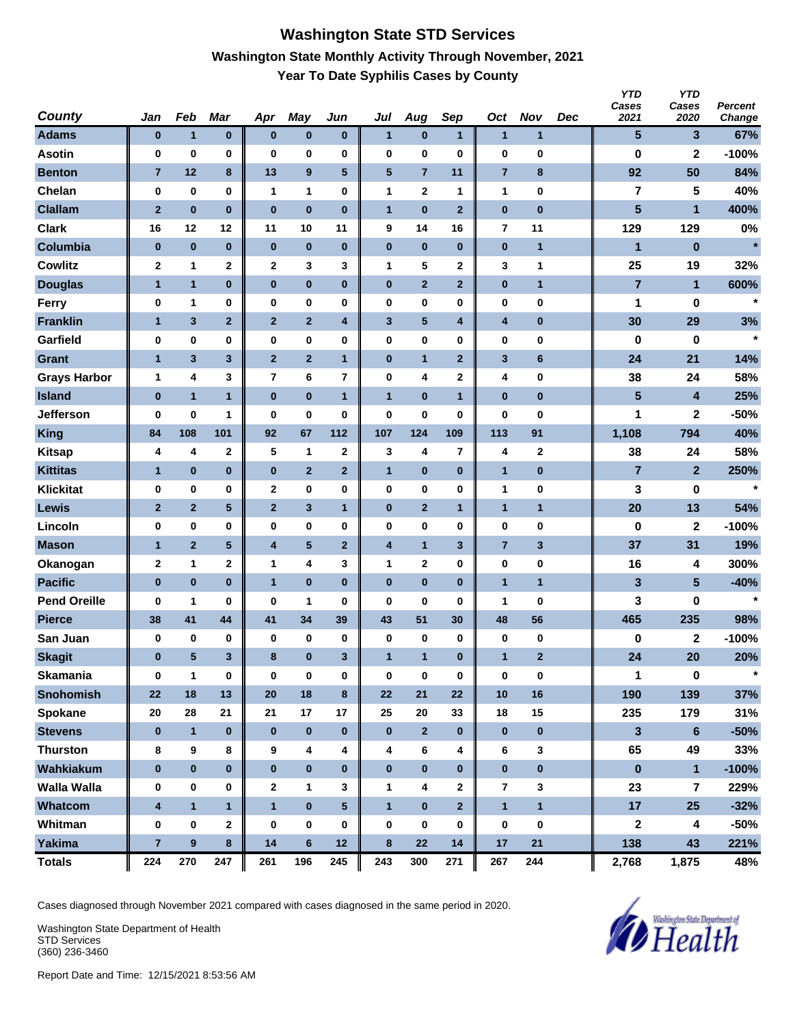#### **Washington State STD Services Washington State Monthly Activity Through November, 2021 Year To Date Syphilis Cases by County**

| <b>County</b>       | Jan                     | Feb              | <b>Mar</b>     | Apr            | May                     | Jun                     | Jul                     | Aug            | Sep                     | Oct                     | <b>Nov</b>              | <b>Dec</b> | <b>YTD</b><br>Cases<br>2021 | <b>YTD</b><br>Cases<br>2020 | Percent<br>Change |
|---------------------|-------------------------|------------------|----------------|----------------|-------------------------|-------------------------|-------------------------|----------------|-------------------------|-------------------------|-------------------------|------------|-----------------------------|-----------------------------|-------------------|
| <b>Adams</b>        | $\bf{0}$                | $\mathbf{1}$     | 0              | $\bf{0}$       | $\bf{0}$                | $\pmb{0}$               | $\mathbf{1}$            | $\pmb{0}$      | 1                       | $\mathbf{1}$            | $\mathbf{1}$            |            | 5                           | 3                           | 67%               |
| <b>Asotin</b>       | $\bf{0}$                | 0                | 0              | 0              | $\bf{0}$                | 0                       | $\bf{0}$                | 0              | $\bf{0}$                | 0                       | 0                       |            | 0                           | 2                           | $-100%$           |
| <b>Benton</b>       | $\overline{7}$          | 12               | 8              | 13             | 9                       | ${\bf 5}$               | 5                       | $\overline{7}$ | 11                      | $\overline{7}$          | 8                       |            | 92                          | 50                          | 84%               |
| Chelan              | $\pmb{0}$               | 0                | 0              | $\mathbf{1}$   | 1                       | 0                       | $\mathbf{1}$            | $\mathbf 2$    | $\mathbf 1$             | 1                       | 0                       |            | 7                           | 5                           | 40%               |
| <b>Clallam</b>      | $\overline{\mathbf{2}}$ | $\bf{0}$         | $\bf{0}$       | $\bf{0}$       | $\bf{0}$                | $\bf{0}$                | $\mathbf{1}$            | $\pmb{0}$      | $\mathbf{2}$            | $\pmb{0}$               | $\pmb{0}$               |            | $5\phantom{.}$              | $\mathbf{1}$                | 400%              |
| <b>Clark</b>        | 16                      | 12               | 12             | 11             | 10                      | 11                      | 9                       | 14             | 16                      | 7                       | 11                      |            | 129                         | 129                         | 0%                |
| Columbia            | $\bf{0}$                | $\bf{0}$         | $\pmb{0}$      | $\bf{0}$       | $\bf{0}$                | $\pmb{0}$               | $\bf{0}$                | $\bf{0}$       | $\bf{0}$                | $\pmb{0}$               | $\overline{\mathbf{1}}$ |            | 1                           | $\pmb{0}$                   | $\star$           |
| Cowlitz             | $\mathbf{2}$            | 1                | 2              | $\mathbf{2}$   | 3                       | 3                       | $\mathbf{1}$            | 5              | 2                       | 3                       | 1                       |            | 25                          | 19                          | 32%               |
| <b>Douglas</b>      | 1                       | $\mathbf{1}$     | 0              | $\pmb{0}$      | $\pmb{0}$               | $\pmb{0}$               | $\bf{0}$                | $\overline{2}$ | $\overline{2}$          | $\pmb{0}$               | 1                       |            | $\overline{7}$              | 1                           | 600%              |
| Ferry               | 0                       | 1                | 0              | 0              | $\bf{0}$                | 0                       | $\bf{0}$                | 0              | $\bf{0}$                | 0                       | 0                       |            | 1                           | 0                           | $\star$           |
| <b>Franklin</b>     | $\mathbf{1}$            | $\mathbf{3}$     | $\overline{2}$ | $\mathbf{2}$   | $\mathbf{2}$            | $\overline{\mathbf{4}}$ | $\mathbf{3}$            | $\sqrt{5}$     | 4                       | $\overline{\mathbf{4}}$ | $\bf{0}$                |            | 30                          | 29                          | 3%                |
| Garfield            | 0                       | $\pmb{0}$        | 0              | 0              | $\pmb{0}$               | 0                       | 0                       | 0              | $\bf{0}$                | 0                       | 0                       |            | 0                           | 0                           | $\star$           |
| <b>Grant</b>        | $\mathbf{1}$            | $\mathbf{3}$     | 3              | $\overline{2}$ | $\mathbf{2}$            | $\mathbf{1}$            | $\bf{0}$                | $\mathbf{1}$   | $\overline{2}$          | $\mathbf{3}$            | 6                       |            | 24                          | 21                          | 14%               |
| <b>Grays Harbor</b> | 1                       | 4                | 3              | 7              | 6                       | $\overline{\mathbf{r}}$ | $\pmb{0}$               | 4              | 2                       | 4                       | 0                       |            | 38                          | 24                          | 58%               |
| <b>Island</b>       | $\bf{0}$                | $\mathbf{1}$     | $\mathbf{1}$   | $\bf{0}$       | $\bf{0}$                | $\mathbf{1}$            | $\overline{1}$          | $\bf{0}$       | $\mathbf{1}$            | $\bf{0}$                | $\pmb{0}$               |            | 5                           | 4                           | 25%               |
| <b>Jefferson</b>    | 0                       | 0                | 1              | 0              | $\bf{0}$                | 0                       | $\bf{0}$                | 0              | 0                       | 0                       | 0                       |            | 1                           | 2                           | $-50%$            |
| <b>King</b>         | 84                      | 108              | 101            | 92             | 67                      | 112                     | 107                     | 124            | 109                     | 113                     | 91                      |            | 1,108                       | 794                         | 40%               |
| <b>Kitsap</b>       | 4                       | 4                | 2              | 5              | $\mathbf{1}$            | $\mathbf 2$             | 3                       | 4              | 7                       | 4                       | 2                       |            | 38                          | 24                          | 58%               |
| <b>Kittitas</b>     | $\mathbf{1}$            | $\pmb{0}$        | 0              | $\bf{0}$       | $\overline{2}$          | $\mathbf{2}$            | 1                       | $\bf{0}$       | $\bf{0}$                | $\mathbf{1}$            | $\bf{0}$                |            | $\overline{7}$              | $\mathbf{2}$                | 250%              |
| <b>Klickitat</b>    | 0                       | 0                | 0              | 2              | $\pmb{0}$               | 0                       | $\bf{0}$                | 0              | $\bf{0}$                | 1                       | $\bf{0}$                |            | 3                           | 0                           | $\star$           |
| <b>Lewis</b>        | $\mathbf{2}$            | $\mathbf{2}$     | 5              | $\mathbf{2}$   | 3                       | $\mathbf{1}$            | $\bf{0}$                | $\mathbf{2}$   | 1                       | $\mathbf{1}$            | $\mathbf{1}$            |            | 20                          | 13                          | 54%               |
| Lincoln             | 0                       | 0                | 0              | 0              | $\pmb{0}$               | 0                       | 0                       | 0              | $\bf{0}$                | 0                       | 0                       |            | 0                           | $\mathbf{2}$                | $-100%$           |
| <b>Mason</b>        | $\mathbf{1}$            | $\overline{2}$   | 5              | 4              | $\overline{\mathbf{5}}$ | $\mathbf{2}$            | $\overline{\mathbf{4}}$ | $\mathbf{1}$   | 3                       | $\overline{7}$          | 3                       |            | 37                          | 31                          | 19%               |
| Okanogan            | $\mathbf{2}$            | 1                | 2              | 1              | 4                       | 3                       | 1                       | $\mathbf{2}$   | 0                       | 0                       | 0                       |            | 16                          | 4                           | 300%              |
| <b>Pacific</b>      | $\bf{0}$                | $\bf{0}$         | $\bf{0}$       | $\mathbf{1}$   | $\bf{0}$                | $\bf{0}$                | $\bf{0}$                | $\bf{0}$       | $\bf{0}$                | $\mathbf{1}$            | $\mathbf{1}$            |            | 3                           | 5                           | $-40%$            |
| <b>Pend Oreille</b> | 0                       | 1                | 0              | 0              | 1                       | 0                       | $\bf{0}$                | 0              | 0                       | 1                       | 0                       |            | 3                           | 0                           | $\star$           |
| <b>Pierce</b>       | 38                      | 41               | 44             | 41             | 34                      | 39                      | 43                      | 51             | 30                      | 48                      | 56                      |            | 465                         | 235                         | 98%               |
| San Juan            | 0                       | 0                | 0              | 0              | 0                       | $\pmb{0}$               | 0                       | 0              | $\bf{0}$                | 0                       | 0                       |            | 0                           | 2                           | $-100%$           |
| <b>Skagit</b>       | $\bf{0}$                | $5\phantom{.0}$  | 3              | 8              | $\pmb{0}$               | 3                       | $\mathbf{1}$            | $\mathbf{1}$   | $\bf{0}$                | $\mathbf{1}$            | $\overline{2}$          |            | 24                          | 20                          | 20%               |
| <b>Skamania</b>     | $\bf{0}$                | $\mathbf{1}$     | $\pmb{0}$      | 0              | $\bf{0}$                | $\bf{0}$                | $\pmb{0}$               | 0              | $\pmb{0}$               | $\pmb{0}$               | $\bf{0}$                |            | 1                           | $\mathbf 0$                 | $\star$           |
| <b>Snohomish</b>    | 22                      | 18               | 13             | 20             | 18                      | 8                       | 22                      | 21             | 22                      | 10                      | 16                      |            | 190                         | 139                         | 37%               |
| Spokane             | 20                      | 28               | 21             | 21             | 17                      | 17                      | 25                      | 20             | 33                      | 18                      | 15                      |            | 235                         | 179                         | 31%               |
| <b>Stevens</b>      | $\bf{0}$                | $\mathbf{1}$     | $\bf{0}$       | $\bf{0}$       | $\pmb{0}$               | $\bf{0}$                | $\bf{0}$                | $\overline{2}$ | $\bf{0}$                | $\bf{0}$                | $\bf{0}$                |            | 3                           | $\bf 6$                     | $-50%$            |
| <b>Thurston</b>     | 8                       | 9                | 8              | 9              | 4                       | 4                       | 4                       | 6              | 4                       | 6                       | 3                       |            | 65                          | 49                          | 33%               |
| Wahkiakum           | $\pmb{0}$               | $\bf{0}$         | $\bf{0}$       | $\bf{0}$       | $\pmb{0}$               | $\pmb{0}$               | $\bf{0}$                | $\pmb{0}$      | $\bf{0}$                | $\pmb{0}$               | $\pmb{0}$               |            | $\pmb{0}$                   | $\mathbf{1}$                | $-100%$           |
| <b>Walla Walla</b>  | 0                       | 0                | 0              | 2              | $\mathbf 1$             | 3                       | 1                       | 4              | $\mathbf{2}$            | $\overline{\mathbf{r}}$ | 3                       |            | 23                          | $\overline{\mathbf{r}}$     | 229%              |
| Whatcom             | $\overline{\mathbf{4}}$ | $\mathbf{1}$     | $\mathbf{1}$   | $\mathbf{1}$   | $\pmb{0}$               | $\overline{\mathbf{5}}$ | $\overline{1}$          | $\bf{0}$       | $\overline{\mathbf{2}}$ | $\mathbf{1}$            | $\mathbf{1}$            |            | 17                          | 25                          | $-32%$            |
| Whitman             | $\bf{0}$                | $\bf{0}$         | $\mathbf{2}$   | 0              | $\bf{0}$                | $\bf{0}$                | 0                       | 0              | $\bf{0}$                | $\pmb{0}$               | 0                       |            | 2                           | 4                           | $-50%$            |
| Yakima              | $\overline{7}$          | $\boldsymbol{9}$ | 8              | 14             | $6\phantom{a}$          | 12                      | $\bf8$                  | 22             | 14                      | 17                      | 21                      |            | 138                         | 43                          | 221%              |
| <b>Totals</b>       | 224                     | 270              | 247            | 261            | 196                     | 245                     | 243                     | 300            | 271                     | 267                     | 244                     |            | 2,768                       | 1,875                       | 48%               |

Cases diagnosed through November 2021 compared with cases diagnosed in the same period in 2020.

Washington State Department of Health STD Services (360) 236-3460

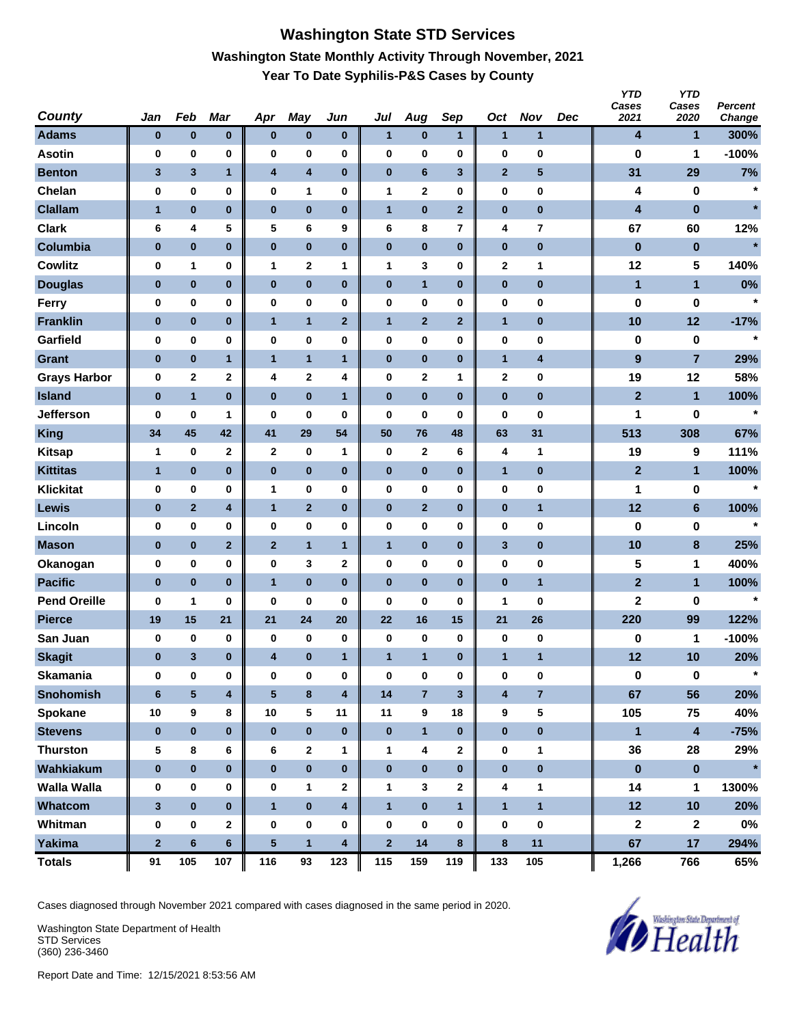# **Washington State STD Services Washington State Monthly Activity Through November, 2021 Year To Date Syphilis-P&S Cases by County**

| <b>County</b>       | Jan            | Feb          | <b>Mar</b>              | Apr             | May                     | Jun                     | Jul          | Aug            | Sep          | Oct          | <b>Nov</b>     | <b>Dec</b> | <b>YTD</b><br>Cases<br>2021 | <b>YTD</b><br>Cases<br>2020 | Percent<br>Change |
|---------------------|----------------|--------------|-------------------------|-----------------|-------------------------|-------------------------|--------------|----------------|--------------|--------------|----------------|------------|-----------------------------|-----------------------------|-------------------|
| <b>Adams</b>        | $\bf{0}$       | $\pmb{0}$    | $\bf{0}$                | $\pmb{0}$       | $\bf{0}$                | $\bf{0}$                | 1            | $\pmb{0}$      | $\mathbf{1}$ | $\mathbf{1}$ | $\mathbf{1}$   |            | 4                           | $\mathbf{1}$                | 300%              |
| <b>Asotin</b>       | $\bf{0}$       | 0            | 0                       | 0               | $\bf{0}$                | 0                       | 0            | 0              | 0            | 0            | 0              |            | 0                           | 1                           | $-100%$           |
| <b>Benton</b>       | $\mathbf{3}$   | $\mathbf{3}$ | 1                       | 4               | $\overline{\mathbf{4}}$ | $\pmb{0}$               | $\pmb{0}$    | 6              | $\mathbf{3}$ | $\mathbf{2}$ | $\sqrt{5}$     |            | 31                          | 29                          | 7%                |
| Chelan              | 0              | 0            | 0                       | 0               | 1                       | 0                       | 1            | 2              | 0            | 0            | 0              |            | 4                           | 0                           | $\star$           |
| <b>Clallam</b>      | $\mathbf{1}$   | $\pmb{0}$    | $\bf{0}$                | $\bf{0}$        | $\bf{0}$                | $\bf{0}$                | $\mathbf{1}$ | $\bf{0}$       | $\mathbf{2}$ | $\pmb{0}$    | $\pmb{0}$      |            | 4                           | $\bf{0}$                    | $\star$           |
| <b>Clark</b>        | 6              | 4            | 5                       | 5               | 6                       | 9                       | 6            | 8              | 7            | 4            | 7              |            | 67                          | 60                          | 12%               |
| Columbia            | $\pmb{0}$      | $\pmb{0}$    | $\bf{0}$                | $\pmb{0}$       | $\bf{0}$                | $\pmb{0}$               | $\pmb{0}$    | $\bf{0}$       | $\bf{0}$     | $\pmb{0}$    | $\pmb{0}$      |            | $\bf{0}$                    | $\pmb{0}$                   | $\star$           |
| <b>Cowlitz</b>      | 0              | 1            | 0                       | 1               | $\mathbf 2$             | 1                       | 1            | 3              | $\bf{0}$     | $\mathbf{2}$ | 1              |            | 12                          | 5                           | 140%              |
| <b>Douglas</b>      | $\bf{0}$       | $\pmb{0}$    | $\bf{0}$                | 0               | $\pmb{0}$               | $\pmb{0}$               | $\pmb{0}$    | $\mathbf{1}$   | $\bf{0}$     | $\pmb{0}$    | $\pmb{0}$      |            | 1                           | $\mathbf{1}$                | 0%                |
| Ferry               | $\bf{0}$       | 0            | 0                       | 0               | $\bf{0}$                | 0                       | $\pmb{0}$    | 0              | 0            | 0            | 0              |            | 0                           | 0                           | $\star$           |
| <b>Franklin</b>     | $\bf{0}$       | $\pmb{0}$    | $\bf{0}$                | $\mathbf{1}$    | $\mathbf{1}$            | $\mathbf{2}$            | $\mathbf{1}$ | $\mathbf{2}$   | $\mathbf{2}$ | $\mathbf{1}$ | $\pmb{0}$      |            | 10                          | 12                          | $-17%$            |
| Garfield            | 0              | 0            | 0                       | 0               | $\pmb{0}$               | 0                       | 0            | 0              | $\bf{0}$     | 0            | 0              |            | 0                           | 0                           | $\star$           |
| <b>Grant</b>        | $\bf{0}$       | $\pmb{0}$    | 1                       | $\mathbf{1}$    | $\overline{1}$          | $\mathbf{1}$            | $\pmb{0}$    | $\pmb{0}$      | $\bf{0}$     | $\mathbf{1}$ | 4              |            | $\boldsymbol{9}$            | $\overline{7}$              | 29%               |
| <b>Grays Harbor</b> | 0              | $\mathbf 2$  | 2                       | 4               | $\bf{2}$                | 4                       | 0            | $\mathbf 2$    | 1            | 2            | 0              |            | 19                          | 12                          | 58%               |
| <b>Island</b>       | $\pmb{0}$      | $\mathbf{1}$ | $\bf{0}$                | $\bf{0}$        | $\bf{0}$                | $\mathbf{1}$            | $\bf{0}$     | $\bf{0}$       | $\bf{0}$     | $\pmb{0}$    | $\pmb{0}$      |            | $\mathbf{2}$                | 1                           | 100%              |
| <b>Jefferson</b>    | 0              | 0            | 1                       | 0               | 0                       | 0                       | 0            | 0              | 0            | 0            | 0              |            | 1                           | 0                           | $\star$           |
| <b>King</b>         | 34             | 45           | 42                      | 41              | 29                      | 54                      | 50           | 76             | 48           | 63           | 31             |            | 513                         | 308                         | 67%               |
| <b>Kitsap</b>       | $\mathbf{1}$   | 0            | 2                       | $\mathbf{2}$    | 0                       | 1                       | 0            | 2              | 6            | 4            | 1              |            | 19                          | 9                           | 111%              |
| <b>Kittitas</b>     | $\mathbf{1}$   | $\pmb{0}$    | $\bf{0}$                | $\pmb{0}$       | $\bf{0}$                | $\pmb{0}$               | $\pmb{0}$    | $\pmb{0}$      | $\bf{0}$     | $\mathbf{1}$ | $\pmb{0}$      |            | $\mathbf{2}$                | 1                           | 100%              |
| <b>Klickitat</b>    | $\bf{0}$       | 0            | 0                       | 1               | 0                       | 0                       | 0            | 0              | $\bf{0}$     | 0            | 0              |            | 1                           | 0                           | $\star$           |
| <b>Lewis</b>        | $\bf{0}$       | $\mathbf{2}$ | 4                       | $\mathbf{1}$    | $\mathbf{2}$            | $\pmb{0}$               | $\pmb{0}$    | $\mathbf{2}$   | $\bf{0}$     | $\pmb{0}$    | $\mathbf{1}$   |            | 12                          | $\bf 6$                     | 100%              |
| Lincoln             | 0              | 0            | 0                       | 0               | $\pmb{0}$               | 0                       | 0            | 0              | $\bf{0}$     | 0            | 0              |            | 0                           | 0                           | $\star$           |
| <b>Mason</b>        | $\bf{0}$       | $\pmb{0}$    | $\overline{2}$          | $\mathbf{2}$    | $\overline{1}$          | $\mathbf{1}$            | $\mathbf{1}$ | $\pmb{0}$      | $\bf{0}$     | 3            | $\pmb{0}$      |            | 10                          | $\bf 8$                     | 25%               |
| Okanogan            | 0              | 0            | 0                       | 0               | 3                       | 2                       | 0            | 0              | $\bf{0}$     | 0            | 0              |            | 5                           | 1                           | 400%              |
| <b>Pacific</b>      | $\bf{0}$       | $\bf{0}$     | $\bf{0}$                | $\mathbf{1}$    | $\bf{0}$                | $\bf{0}$                | $\bf{0}$     | $\bf{0}$       | $\bf{0}$     | $\pmb{0}$    | $\mathbf{1}$   |            | $\overline{2}$              | $\mathbf{1}$                | 100%              |
| <b>Pend Oreille</b> | 0              | 1            | 0                       | 0               | 0                       | 0                       | 0            | 0              | 0            | 1            | 0              |            | 2                           | 0                           | $\star$           |
| <b>Pierce</b>       | 19             | 15           | 21                      | 21              | 24                      | 20                      | 22           | 16             | 15           | 21           | 26             |            | 220                         | 99                          | 122%              |
| San Juan            | 0              | 0            | 0                       | 0               | 0                       | 0                       | 0            | 0              | $\bf{0}$     | 0            | 0              |            | 0                           | 1                           | $-100%$           |
| <b>Skagit</b>       | $\bf{0}$       | 3            | $\bf{0}$                | 4               | $\bf{0}$                | $\mathbf{1}$            | $\mathbf{1}$ | $\mathbf{1}$   | $\bf{0}$     | $\mathbf{1}$ | 1              |            | 12                          | 10                          | 20%               |
| <b>Skamania</b>     | $\bf{0}$       | 0            | 0                       | $\bf{0}$        | $\bf{0}$                | 0                       | $\bf{0}$     | 0              | $\pmb{0}$    | 0            | 0              |            | $\pmb{0}$                   | $\pmb{0}$                   | $\star$           |
| <b>Snohomish</b>    | $6\phantom{1}$ | ${\bf 5}$    | $\overline{\mathbf{4}}$ | $5\phantom{.0}$ | $\pmb{8}$               | $\overline{\mathbf{4}}$ | 14           | $\overline{7}$ | $\mathbf{3}$ | 4            | $\overline{7}$ |            | 67                          | 56                          | 20%               |
| Spokane             | 10             | 9            | 8                       | 10              | 5                       | 11                      | 11           | 9              | 18           | 9            | 5              |            | 105                         | 75                          | 40%               |
| <b>Stevens</b>      | $\bf{0}$       | $\pmb{0}$    | $\mathbf{0}$            | $\bf{0}$        | $\pmb{0}$               | $\pmb{0}$               | $\pmb{0}$    | $\mathbf{1}$   | $\bf{0}$     | $\pmb{0}$    | $\bf{0}$       |            | $\mathbf{1}$                | $\overline{\mathbf{4}}$     | $-75%$            |
| <b>Thurston</b>     | ${\bf 5}$      | 8            | 6                       | 6               | $\mathbf{2}$            | 1                       | 1            | 4              | $\mathbf 2$  | 0            | 1              |            | 36                          | 28                          | 29%               |
| Wahkiakum           | $\bf{0}$       | $\bf{0}$     | $\mathbf{0}$            | $\bf{0}$        | $\pmb{0}$               | $\pmb{0}$               | $\bf{0}$     | $\bf{0}$       | $\bf{0}$     | $\pmb{0}$    | $\pmb{0}$      |            | $\pmb{0}$                   | $\pmb{0}$                   | $\star$           |
| <b>Walla Walla</b>  | 0              | 0            | 0                       | 0               | $\mathbf{1}$            | 2                       | 1            | 3              | $\mathbf 2$  | 4            | $\mathbf 1$    |            | 14                          | 1                           | 1300%             |
| Whatcom             | $\mathbf{3}$   | $\pmb{0}$    | $\bf{0}$                | $\mathbf{1}$    | $\pmb{0}$               | 4                       | $\mathbf{1}$ | $\bf{0}$       | $\mathbf{1}$ | $\mathbf{1}$ | $\mathbf{1}$   |            | 12                          | 10                          | 20%               |
| Whitman             | $\pmb{0}$      | 0            | $\mathbf 2$             | $\bf{0}$        | $\pmb{0}$               | 0                       | $\bf{0}$     | $\pmb{0}$      | $\bf{0}$     | 0            | 0              |            | 2                           | $\boldsymbol{2}$            | $0\%$             |
| <b>Yakima</b>       | $\bf{2}$       | $\bf 6$      | $6\phantom{a}$          | 5               | $\mathbf{1}$            | $\overline{\mathbf{4}}$ | $\mathbf 2$  | 14             | $\bf{8}$     | $\pmb{8}$    | 11             |            | 67                          | 17                          | 294%              |
| <b>Totals</b>       | 91             | 105          | 107                     | 116             | 93                      | 123                     | 115          | 159            | 119          | 133          | 105            |            | 1,266                       | 766                         | 65%               |

Cases diagnosed through November 2021 compared with cases diagnosed in the same period in 2020.

Washington State Department of Health STD Services (360) 236-3460

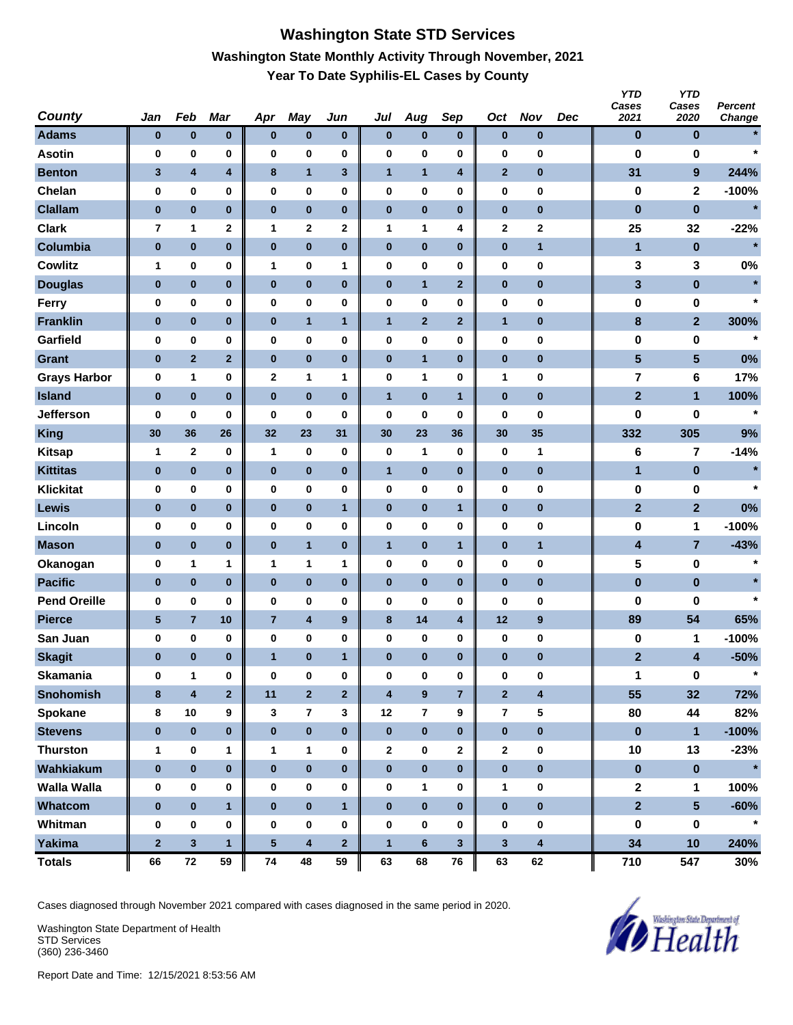# **Washington State STD Services Washington State Monthly Activity Through November, 2021 Year To Date Syphilis-EL Cases by County**

| <b>County</b>       | Jan             | Feb            | <b>Mar</b>              | Apr            | May                     | Jun              | Jul                     | Aug            | Sep                     | Oct                     | <b>Nov</b>       | <b>Dec</b> | <b>YTD</b><br>Cases<br>2021 | <b>YTD</b><br>Cases<br>2020 | Percent<br>Change |
|---------------------|-----------------|----------------|-------------------------|----------------|-------------------------|------------------|-------------------------|----------------|-------------------------|-------------------------|------------------|------------|-----------------------------|-----------------------------|-------------------|
| <b>Adams</b>        | $\bf{0}$        | $\bf{0}$       | $\pmb{0}$               | $\bf{0}$       | $\pmb{0}$               | $\bf{0}$         | $\bf{0}$                | $\pmb{0}$      | $\bf{0}$                | $\pmb{0}$               | $\pmb{0}$        |            | $\bf{0}$                    | $\bf{0}$                    |                   |
| <b>Asotin</b>       | 0               | 0              | 0                       | 0              | $\bf{0}$                | 0                | 0                       | 0              | $\bf{0}$                | 0                       | $\bf{0}$         |            | $\bf{0}$                    | 0                           | $\star$           |
| <b>Benton</b>       | 3               | 4              | $\overline{\mathbf{4}}$ | 8              | $\overline{1}$          | $\mathbf{3}$     | $\mathbf{1}$            | $\mathbf{1}$   | 4                       | $\mathbf{2}$            | $\pmb{0}$        |            | 31                          | 9                           | 244%              |
| Chelan              | 0               | $\pmb{0}$      | 0                       | 0              | $\pmb{0}$               | 0                | 0                       | 0              | 0                       | 0                       | $\pmb{0}$        |            | $\pmb{0}$                   | $\mathbf 2$                 | $-100%$           |
| <b>Clallam</b>      | $\pmb{0}$       | $\pmb{0}$      | $\bf{0}$                | $\pmb{0}$      | $\bf{0}$                | $\bf{0}$         | $\pmb{0}$               | $\pmb{0}$      | $\bf{0}$                | $\pmb{0}$               | $\bf{0}$         |            | $\pmb{0}$                   | $\bf{0}$                    | $\star$           |
| <b>Clark</b>        | 7               | 1              | $\mathbf 2$             | 1              | $\mathbf 2$             | 2                | 1                       | 1              | 4                       | 2                       | 2                |            | 25                          | 32                          | $-22%$            |
| Columbia            | $\pmb{0}$       | $\pmb{0}$      | $\bf{0}$                | $\pmb{0}$      | $\bf{0}$                | $\pmb{0}$        | $\pmb{0}$               | $\bf{0}$       | $\bf{0}$                | $\pmb{0}$               | 1                |            | $\blacksquare$              | $\bf{0}$                    | $\star$           |
| <b>Cowlitz</b>      | 1               | 0              | 0                       | 1              | 0                       | 1                | 0                       | 0              | 0                       | 0                       | 0                |            | 3                           | 3                           | 0%                |
| <b>Douglas</b>      | $\bf{0}$        | $\bf{0}$       | $\pmb{0}$               | $\bf{0}$       | $\pmb{0}$               | $\pmb{0}$        | $\pmb{0}$               | $\mathbf{1}$   | $\mathbf{2}$            | 0                       | $\pmb{0}$        |            | 3                           | $\pmb{0}$                   | $\star$           |
| Ferry               | 0               | $\pmb{0}$      | 0                       | 0              | $\bf{0}$                | 0                | $\pmb{0}$               | 0              | 0                       | 0                       | 0                |            | 0                           | 0                           | $\star$           |
| <b>Franklin</b>     | $\bf{0}$        | 0              | $\bf{0}$                | $\bf{0}$       | $\mathbf{1}$            | $\mathbf{1}$     | $\mathbf{1}$            | $\mathbf{2}$   | $\mathbf{2}$            | $\overline{\mathbf{1}}$ | $\pmb{0}$        |            | $\bf 8$                     | $\overline{\mathbf{2}}$     | 300%              |
| Garfield            | $\bf{0}$        | $\pmb{0}$      | 0                       | 0              | $\bf{0}$                | 0                | 0                       | 0              | $\bf{0}$                | 0                       | $\pmb{0}$        |            | 0                           | 0                           | $\star$           |
| <b>Grant</b>        | $\bf{0}$        | $\overline{2}$ | $\mathbf{2}$            | $\pmb{0}$      | $\pmb{0}$               | $\pmb{0}$        | $\pmb{0}$               | $\mathbf{1}$   | $\bf{0}$                | $\pmb{0}$               | $\pmb{0}$        |            | $\overline{\mathbf{5}}$     | $5\phantom{.0}$             | 0%                |
| <b>Grays Harbor</b> | 0               | 1              | 0                       | $\mathbf{2}$   | $\mathbf{1}$            | 1                | $\pmb{0}$               | 1              | 0                       | 1                       | $\pmb{0}$        |            | 7                           | 6                           | 17%               |
| <b>Island</b>       | $\pmb{0}$       | $\pmb{0}$      | $\bf{0}$                | $\bf{0}$       | $\bf{0}$                | $\bf{0}$         | $\overline{1}$          | $\pmb{0}$      | $\mathbf{1}$            | $\pmb{0}$               | $\pmb{0}$        |            | $\overline{2}$              | $\mathbf{1}$                | 100%              |
| <b>Jefferson</b>    | 0               | 0              | 0                       | 0              | 0                       | 0                | 0                       | 0              | 0                       | 0                       | 0                |            | 0                           | 0                           | $\star$           |
| <b>King</b>         | 30              | 36             | 26                      | 32             | 23                      | 31               | 30                      | 23             | 36                      | 30                      | 35               |            | 332                         | 305                         | 9%                |
| <b>Kitsap</b>       | $\mathbf{1}$    | $\mathbf{2}$   | 0                       | $\mathbf{1}$   | 0                       | 0                | $\bf{0}$                | 1              | $\bf{0}$                | $\bf{0}$                | 1                |            | 6                           | 7                           | $-14%$            |
| <b>Kittitas</b>     | $\bf{0}$        | $\bf{0}$       | $\pmb{0}$               | $\bf{0}$       | $\pmb{0}$               | $\pmb{0}$        | $\mathbf{1}$            | $\pmb{0}$      | $\bf{0}$                | 0                       | $\pmb{0}$        |            | 1                           | $\bf{0}$                    | $\star$           |
| <b>Klickitat</b>    | 0               | 0              | 0                       | 0              | $\bf{0}$                | 0                | 0                       | 0              | 0                       | $\pmb{0}$               | 0                |            | 0                           | 0                           | $\star$           |
| Lewis               | $\bf{0}$        | $\bf{0}$       | $\bf{0}$                | $\bf{0}$       | $\pmb{0}$               | $\mathbf{1}$     | $\pmb{0}$               | $\pmb{0}$      | $\overline{1}$          | 0                       | $\pmb{0}$        |            | $\overline{2}$              | $\mathbf{2}$                | 0%                |
| Lincoln             | 0               | $\pmb{0}$      | $\bf{0}$                | 0              | $\pmb{0}$               | 0                | 0                       | 0              | $\bf{0}$                | 0                       | $\pmb{0}$        |            | 0                           | 1                           | $-100%$           |
| <b>Mason</b>        | $\bf{0}$        | $\pmb{0}$      | $\bf{0}$                | $\pmb{0}$      | $\overline{1}$          | $\pmb{0}$        | $\mathbf{1}$            | $\pmb{0}$      | $\mathbf{1}$            | $\pmb{0}$               | $\mathbf{1}$     |            | 4                           | 7                           | $-43%$            |
| Okanogan            | 0               | 1              | 1                       | 1              | 1                       | 1                | 0                       | 0              | $\bf{0}$                | 0                       | 0                |            | 5                           | 0                           | $\ast$            |
| <b>Pacific</b>      | $\pmb{0}$       | $\pmb{0}$      | $\bf{0}$                | $\pmb{0}$      | $\bf{0}$                | $\bf{0}$         | $\bf{0}$                | $\bf{0}$       | $\bf{0}$                | $\pmb{0}$               | $\bf{0}$         |            | $\pmb{0}$                   | $\pmb{0}$                   |                   |
| <b>Pend Oreille</b> | 0               | 0              | 0                       | 0              | 0                       | 0                | 0                       | 0              | 0                       | 0                       | 0                |            | 0                           | 0                           | $\star$           |
| <b>Pierce</b>       | $5\phantom{.0}$ | $\overline{7}$ | 10                      | $\overline{7}$ | $\overline{\mathbf{4}}$ | $\boldsymbol{9}$ | $\bf8$                  | 14             | $\overline{\mathbf{4}}$ | 12                      | $\boldsymbol{9}$ |            | 89                          | 54                          | 65%               |
| San Juan            | 0               | 0              | 0                       | 0              | 0                       | 0                | 0                       | 0              | $\bf{0}$                | 0                       | 0                |            | 0                           | 1                           | $-100%$           |
| <b>Skagit</b>       | $\bf{0}$        | $\bf{0}$       | $\bf{0}$                | $\mathbf{1}$   | $\bf{0}$                | $\mathbf{1}$     | $\bf{0}$                | $\bf{0}$       | $\bf{0}$                | $\bf{0}$                | $\bf{0}$         |            | $\mathbf{2}$                | 4                           | $-50%$            |
| <b>Skamania</b>     | 0               | $\mathbf{1}$   | $\pmb{0}$               | $\bf{0}$       | $\pmb{0}$               | 0                | 0                       | 0              | $\pmb{0}$               | $\pmb{0}$               | $\pmb{0}$        |            | 1                           | $\pmb{0}$                   | $\star$           |
| <b>Snohomish</b>    | 8               | $\pmb{4}$      | $\overline{\mathbf{2}}$ | 11             | $\mathbf 2$             | $\mathbf 2$      | $\overline{\mathbf{4}}$ | 9              | $\overline{7}$          | $\overline{\mathbf{2}}$ | 4                |            | 55                          | 32                          | 72%               |
| Spokane             | 8               | 10             | 9                       | 3              | $\overline{7}$          | 3                | 12                      | $\overline{7}$ | 9                       | 7                       | 5                |            | 80                          | 44                          | 82%               |
| <b>Stevens</b>      | $\pmb{0}$       | $\pmb{0}$      | $\pmb{0}$               | $\bf{0}$       | $\pmb{0}$               | $\bf{0}$         | $\pmb{0}$               | $\mathbf 0$    | $\bf{0}$                | $\pmb{0}$               | $\pmb{0}$        |            | $\pmb{0}$                   | $\mathbf{1}$                | $-100%$           |
| <b>Thurston</b>     | 1               | $\pmb{0}$      | 1                       | 1              | $\mathbf{1}$            | 0                | $\mathbf{2}$            | 0              | 2                       | 2                       | $\pmb{0}$        |            | 10                          | 13                          | $-23%$            |
| Wahkiakum           | $\pmb{0}$       | $\pmb{0}$      | $\bf{0}$                | $\pmb{0}$      | $\pmb{0}$               | $\pmb{0}$        | $\bf{0}$                | $\bf{0}$       | $\bf{0}$                | $\pmb{0}$               | $\pmb{0}$        |            | $\pmb{0}$                   | $\pmb{0}$                   | $\star$           |
| <b>Walla Walla</b>  | 0               | 0              | 0                       | 0              | $\pmb{0}$               | 0                | 0                       | 1              | 0                       | $\mathbf 1$             | $\pmb{0}$        |            | $\mathbf 2$                 | 1                           | 100%              |
| Whatcom             | $\bf{0}$        | $\pmb{0}$      | $\mathbf{1}$            | $\bf{0}$       | $\pmb{0}$               | $\mathbf{1}$     | $\bf{0}$                | $\bf{0}$       | $\bf{0}$                | $\pmb{0}$               | $\pmb{0}$        |            | $\overline{2}$              | $5\phantom{.0}$             | $-60%$            |
| Whitman             | 0               | $\pmb{0}$      | $\pmb{0}$               | $\bf{0}$       | $\pmb{0}$               | 0                | $\bf{0}$                | 0              | $\pmb{0}$               | $\bf{0}$                | $\pmb{0}$        |            | $\pmb{0}$                   | 0                           | $\star$           |
| <b>Yakima</b>       | $\mathbf 2$     | $\mathbf{3}$   | $\mathbf{1}$            | $\sqrt{5}$     | $\overline{\mathbf{4}}$ | $\mathbf{2}$     | $\mathbf{1}$            | $6\phantom{a}$ | $\mathbf{3}$            | $\mathbf{3}$            | 4                |            | 34                          | 10                          | 240%              |
| <b>Totals</b>       | 66              | ${\bf 72}$     | 59                      | ${\bf 74}$     | 48                      | 59               | 63                      | 68             | ${\bf 76}$              | 63                      | 62               |            | 710                         | 547                         | 30%               |

Cases diagnosed through November 2021 compared with cases diagnosed in the same period in 2020.

Washington State Department of Health STD Services (360) 236-3460

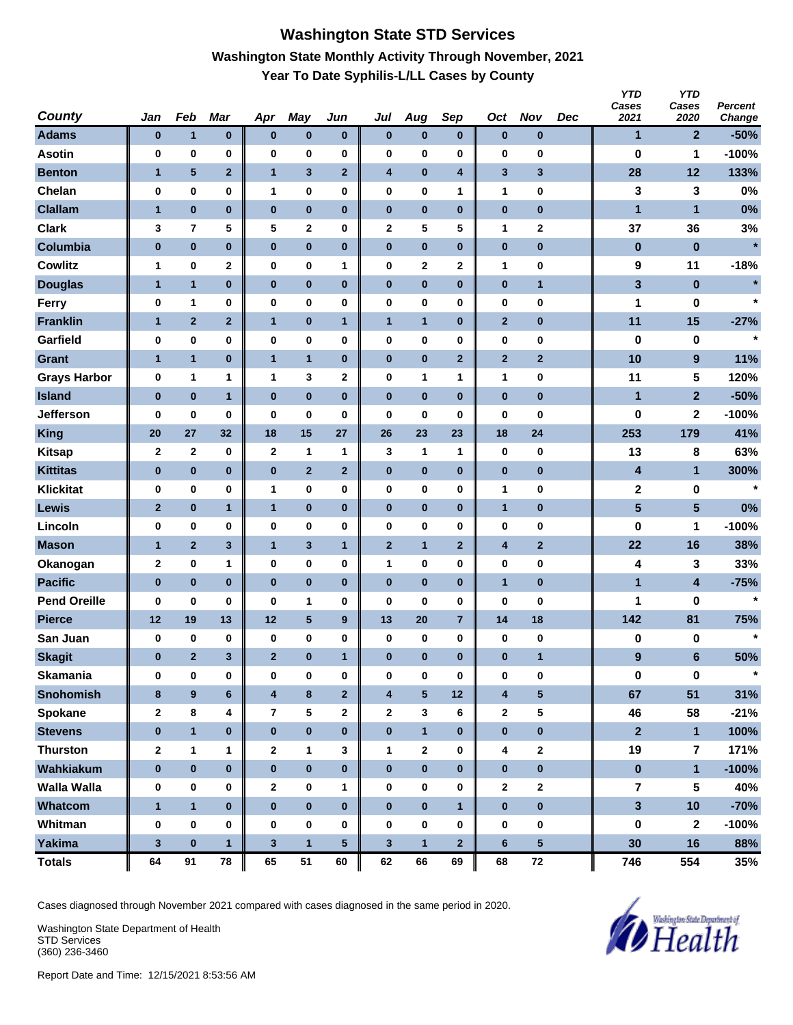# **Washington State STD Services Washington State Monthly Activity Through November, 2021 Year To Date Syphilis-L/LL Cases by County**

| <b>County</b>       | Jan          | Feb            | Mar                     | Apr                     | May            | Jun                     | Jul                     | Aug            | Sep            | Oct                     | <b>Nov</b>              | <b>Dec</b> | <b>YTD</b><br>Cases<br>2021 | <b>YTD</b><br>Cases<br>2020 | Percent<br>Change |
|---------------------|--------------|----------------|-------------------------|-------------------------|----------------|-------------------------|-------------------------|----------------|----------------|-------------------------|-------------------------|------------|-----------------------------|-----------------------------|-------------------|
| <b>Adams</b>        | $\bf{0}$     | $\mathbf{1}$   | $\pmb{0}$               | $\pmb{0}$               | $\pmb{0}$      | 0                       | $\pmb{0}$               | $\pmb{0}$      | $\bf{0}$       | $\pmb{0}$               | $\pmb{0}$               |            | 1                           | $\overline{2}$              | $-50%$            |
| <b>Asotin</b>       | 0            | 0              | 0                       | 0                       | 0              | 0                       | 0                       | 0              | $\bf{0}$       | $\pmb{0}$               | 0                       |            | $\bf{0}$                    | 1                           | $-100%$           |
| <b>Benton</b>       | $\mathbf{1}$ | 5              | $\overline{\mathbf{2}}$ | $\mathbf{1}$            | $\mathbf{3}$   | $\mathbf{2}$            | 4                       | $\bf{0}$       | 4              | $\mathbf{3}$            | $\mathbf{3}$            |            | 28                          | 12                          | 133%              |
| Chelan              | 0            | 0              | $\pmb{0}$               | 1                       | 0              | 0                       | $\pmb{0}$               | 0              | 1              | 1                       | 0                       |            | 3                           | 3                           | 0%                |
| <b>Clallam</b>      | $\mathbf{1}$ | $\pmb{0}$      | $\bf{0}$                | $\pmb{0}$               | $\pmb{0}$      | $\bf{0}$                | $\pmb{0}$               | $\pmb{0}$      | $\bf{0}$       | $\pmb{0}$               | $\pmb{0}$               |            | 1                           | 1                           | 0%                |
| <b>Clark</b>        | 3            | 7              | 5                       | 5                       | 2              | 0                       | 2                       | 5              | 5              | 1                       | 2                       |            | 37                          | 36                          | 3%                |
| Columbia            | $\pmb{0}$    | $\pmb{0}$      | $\pmb{0}$               | $\pmb{0}$               | $\pmb{0}$      | $\pmb{0}$               | $\pmb{0}$               | $\pmb{0}$      | $\bf{0}$       | $\pmb{0}$               | $\pmb{0}$               |            | $\pmb{0}$                   | $\pmb{0}$                   | $\star$           |
| <b>Cowlitz</b>      | 1            | 0              | 2                       | 0                       | 0              | 1                       | $\pmb{0}$               | 2              | $\mathbf 2$    | 1                       | 0                       |            | 9                           | 11                          | $-18%$            |
| <b>Douglas</b>      | 1            | $\mathbf{1}$   | $\pmb{0}$               | $\pmb{0}$               | $\pmb{0}$      | $\pmb{0}$               | $\pmb{0}$               | $\bf{0}$       | $\pmb{0}$      | $\pmb{0}$               | $\mathbf{1}$            |            | 3                           | $\pmb{0}$                   |                   |
| Ferry               | $\bf{0}$     | 1              | 0                       | $\pmb{0}$               | 0              | 0                       | 0                       | 0              | $\bf{0}$       | $\pmb{0}$               | 0                       |            | 1                           | 0                           | $\star$           |
| <b>Franklin</b>     | $\mathbf{1}$ | $\mathbf{2}$   | $\mathbf{2}$            | $\mathbf{1}$            | $\pmb{0}$      | 1                       | $\mathbf{1}$            | $\mathbf{1}$   | $\bf{0}$       | $\mathbf{2}$            | $\pmb{0}$               |            | 11                          | 15                          | $-27%$            |
| Garfield            | 0            | 0              | 0                       | 0                       | 0              | 0                       | 0                       | 0              | $\bf{0}$       | $\pmb{0}$               | 0                       |            | 0                           | 0                           | $\star$           |
| Grant               | $\mathbf{1}$ | $\mathbf{1}$   | $\pmb{0}$               | $\mathbf{1}$            | $\mathbf{1}$   | $\pmb{0}$               | $\pmb{0}$               | $\bf{0}$       | $\mathbf{2}$   | $\mathbf{2}$            | $\mathbf{2}$            |            | 10                          | $\boldsymbol{9}$            | 11%               |
| <b>Grays Harbor</b> | 0            | 1              | 1                       | 1                       | 3              | 2                       | $\pmb{0}$               | 1              | 1              | 1                       | 0                       |            | 11                          | 5                           | 120%              |
| <b>Island</b>       | $\pmb{0}$    | $\pmb{0}$      | $\mathbf{1}$            | $\bf{0}$                | $\bf{0}$       | $\bf{0}$                | $\bf{0}$                | $\pmb{0}$      | $\bf{0}$       | $\pmb{0}$               | $\pmb{0}$               |            | 1                           | $\overline{2}$              | $-50%$            |
| <b>Jefferson</b>    | 0            | 0              | 0                       | 0                       | 0              | 0                       | 0                       | 0              | 0              | 0                       | 0                       |            | 0                           | $\mathbf{2}$                | $-100%$           |
| <b>King</b>         | 20           | 27             | 32                      | 18                      | 15             | 27                      | 26                      | 23             | 23             | 18                      | 24                      |            | 253                         | 179                         | 41%               |
| <b>Kitsap</b>       | $\mathbf 2$  | $\mathbf{2}$   | 0                       | $\mathbf{2}$            | 1              | 1                       | 3                       | 1              | 1              | $\pmb{0}$               | 0                       |            | 13                          | 8                           | 63%               |
| <b>Kittitas</b>     | $\pmb{0}$    | $\pmb{0}$      | $\pmb{0}$               | $\pmb{0}$               | $\overline{2}$ | $\mathbf{2}$            | $\pmb{0}$               | $\bf{0}$       | $\bf{0}$       | $\pmb{0}$               | $\pmb{0}$               |            | 4                           | $\mathbf{1}$                | 300%              |
| <b>Klickitat</b>    | 0            | $\bf{0}$       | 0                       | 1                       | 0              | 0                       | 0                       | 0              | $\bf{0}$       | 1                       | 0                       |            | 2                           | 0                           | $\star$           |
| Lewis               | $\mathbf{2}$ | $\pmb{0}$      | $\mathbf{1}$            | $\mathbf{1}$            | $\pmb{0}$      | $\pmb{0}$               | $\pmb{0}$               | $\bf{0}$       | $\bf{0}$       | $\mathbf{1}$            | $\pmb{0}$               |            | $5\phantom{1}$              | $5\phantom{.0}$             | 0%                |
| Lincoln             | 0            | 0              | $\bf{0}$                | 0                       | 0              | 0                       | 0                       | 0              | $\bf{0}$       | $\pmb{0}$               | 0                       |            | 0                           | 1                           | $-100%$           |
| <b>Mason</b>        | $\mathbf{1}$ | $\overline{2}$ | 3                       | $\mathbf{1}$            | $\mathbf{3}$   | $\mathbf{1}$            | $\mathbf{2}$            | $\mathbf{1}$   | $\mathbf{2}$   | $\overline{\mathbf{4}}$ | $\mathbf{2}$            |            | 22                          | 16                          | 38%               |
| Okanogan            | $\mathbf 2$  | 0              | 1                       | 0                       | 0              | 0                       | 1                       | 0              | 0              | $\pmb{0}$               | 0                       |            | 4                           | 3                           | 33%               |
| <b>Pacific</b>      | $\pmb{0}$    | $\bf{0}$       | $\bf{0}$                | $\bf{0}$                | $\bf{0}$       | $\bf{0}$                | $\bf{0}$                | $\bf{0}$       | $\bf{0}$       | $\mathbf{1}$            | $\pmb{0}$               |            | $\mathbf{1}$                | $\overline{\mathbf{4}}$     | $-75%$            |
| <b>Pend Oreille</b> | 0            | 0              | 0                       | 0                       | 1              | 0                       | 0                       | 0              | 0              | 0                       | 0                       |            | 1                           | 0                           | $\star$           |
| <b>Pierce</b>       | 12           | 19             | 13                      | 12                      | ${\bf 5}$      | $\boldsymbol{9}$        | 13                      | 20             | $\overline{7}$ | 14                      | 18                      |            | 142                         | 81                          | 75%               |
| San Juan            | 0            | $\pmb{0}$      | 0                       | 0                       | 0              | $\pmb{0}$               | 0                       | 0              | 0              | $\pmb{0}$               | 0                       |            | 0                           | 0                           | $\star$           |
| <b>Skagit</b>       | $\bf{0}$     | $\overline{2}$ | 3                       | $\overline{2}$          | $\bf{0}$       | $\mathbf{1}$            | $\bf{0}$                | $\bf{0}$       | $\bf{0}$       | $\bf{0}$                | $\mathbf{1}$            |            | $\boldsymbol{9}$            | $6\phantom{1}$              | 50%               |
| <b>Skamania</b>     | 0            | 0              | $\pmb{0}$               | $\bf{0}$                | 0              | $\pmb{0}$               | $\bf{0}$                | 0              | $\bf{0}$       | 0                       | 0                       |            | $\pmb{0}$                   | $\pmb{0}$                   | $\star$           |
| <b>Snohomish</b>    | 8            | $\pmb{9}$      | $\bf 6$                 | $\overline{\mathbf{4}}$ | $\bf 8$        | $\overline{\mathbf{2}}$ | $\overline{\mathbf{4}}$ | 5 <sup>5</sup> | $12$           | $\overline{\mathbf{4}}$ | $\overline{\mathbf{5}}$ |            | 67                          | 51                          | 31%               |
| Spokane             | $\mathbf{2}$ | 8              | 4                       | 7                       | 5              | 2                       | $\mathbf{2}$            | 3              | 6              | $\mathbf{2}$            | 5                       |            | 46                          | 58                          | $-21%$            |
| <b>Stevens</b>      | $\pmb{0}$    | $\mathbf{1}$   | $\pmb{0}$               | $\bf{0}$                | $\pmb{0}$      | $\pmb{0}$               | $\pmb{0}$               | $\mathbf{1}$   | $\pmb{0}$      | $\pmb{0}$               | $\pmb{0}$               |            | $\mathbf{2}$                | $\mathbf{1}$                | 100%              |
| <b>Thurston</b>     | $\mathbf{2}$ | 1              | 1                       | $\mathbf{2}$            | $\mathbf{1}$   | 3                       | 1                       | 2              | 0              | 4                       | $\mathbf 2$             |            | 19                          | $\overline{7}$              | 171%              |
| Wahkiakum           | $\pmb{0}$    | $\pmb{0}$      | $\bf{0}$                | $\pmb{0}$               | $\pmb{0}$      | $\pmb{0}$               | $\pmb{0}$               | $\pmb{0}$      | $\pmb{0}$      | $\pmb{0}$               | $\pmb{0}$               |            | $\pmb{0}$                   | $\mathbf{1}$                | $-100%$           |
| <b>Walla Walla</b>  | 0            | 0              | 0                       | $\mathbf{2}$            | 0              | 1                       | $\pmb{0}$               | 0              | 0              | $\mathbf 2$             | 2                       |            | $\bf 7$                     | 5                           | 40%               |
| Whatcom             | $\mathbf{1}$ | $\mathbf{1}$   | $\bf{0}$                | $\bf{0}$                | $\pmb{0}$      | $\pmb{0}$               | $\bf{0}$                | $\pmb{0}$      | $\mathbf{1}$   | $\pmb{0}$               | $\pmb{0}$               |            | $\overline{\mathbf{3}}$     | 10                          | $-70%$            |
| Whitman             | 0            | $\bf{0}$       | 0                       | $\boldsymbol{0}$        | 0              | $\pmb{0}$               | $\pmb{0}$               | 0              | 0              | $\boldsymbol{0}$        | 0                       |            | $\pmb{0}$                   | $\boldsymbol{2}$            | $-100%$           |
| <b>Yakima</b>       | $\mathbf 3$  | $\pmb{0}$      | $\mathbf{1}$            | $\mathbf{3}$            | $\mathbf{1}$   | $\sqrt{5}$              | $\mathbf{3}$            | $\mathbf{1}$   | $\mathbf{2}$   | $\bf 6$                 | $\sqrt{5}$              |            | 30                          | 16                          | 88%               |
| <b>Totals</b>       | 64           | 91             | 78                      | 65                      | 51             | 60                      | 62                      | 66             | 69             | 68                      | ${\bf 72}$              |            | 746                         | 554                         | 35%               |

Cases diagnosed through November 2021 compared with cases diagnosed in the same period in 2020.

Washington State Department of Health STD Services (360) 236-3460